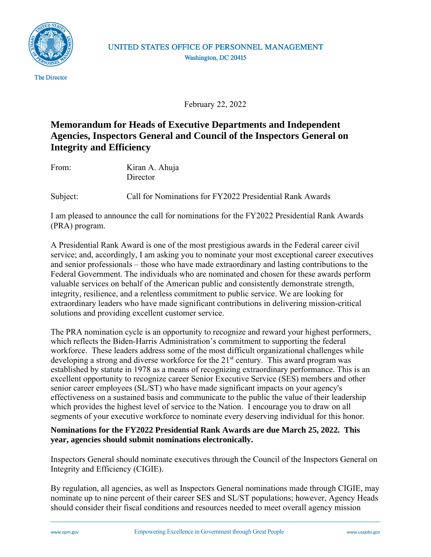

## UNITED STATES OFFICE OF PERSONNEL MANAGEMENT Washington, DC 20415

February 22, 2022

## **Memorandum for Heads of Executive Departments and Independent Agencies, Inspectors General and Council of the Inspectors General on Integrity and Efficiency**

From: Kiran A. Ahuja **Director** 

Subject: Call for Nominations for FY2022 Presidential Rank Awards

I am pleased to announce the call for nominations for the FY2022 Presidential Rank Awards (PRA) program.

A Presidential Rank Award is one of the most prestigious awards in the Federal career civil service; and, accordingly, I am asking you to nominate your most exceptional career executives and senior professionals – those who have made extraordinary and lasting contributions to the Federal Government. The individuals who are nominated and chosen for these awards perform valuable services on behalf of the American public and consistently demonstrate strength, integrity, resilience, and a relentless commitment to public service. We are looking for extraordinary leaders who have made significant contributions in delivering mission-critical solutions and providing excellent customer service.

The PRA nomination cycle is an opportunity to recognize and reward your highest performers, which reflects the Biden-Harris Administration's commitment to supporting the federal workforce. These leaders address some of the most difficult organizational challenges while developing a strong and diverse workforce for the 21<sup>st</sup> century. This award program was established by statute in 1978 as a means of recognizing extraordinary performance. This is an excellent opportunity to recognize career Senior Executive Service (SES) members and other senior career employees (SL/ST) who have made significant impacts on your agency's effectiveness on a sustained basis and communicate to the public the value of their leadership which provides the highest level of service to the Nation. I encourage you to draw on all segments of your executive workforce to nominate every deserving individual for this honor.

## **Nominations for the FY2022 Presidential Rank Awards are due March 25, 2022. This year, agencies should submit nominations electronically.**

Inspectors General should nominate executives through the Council of the Inspectors General on Integrity and Efficiency (CIGIE).

By regulation, all agencies, as well as Inspectors General nominations made through CIGIE, may nominate up to nine percent of their career SES and SL/ST populations; however, Agency Heads should consider their fiscal conditions and resources needed to meet overall agency mission